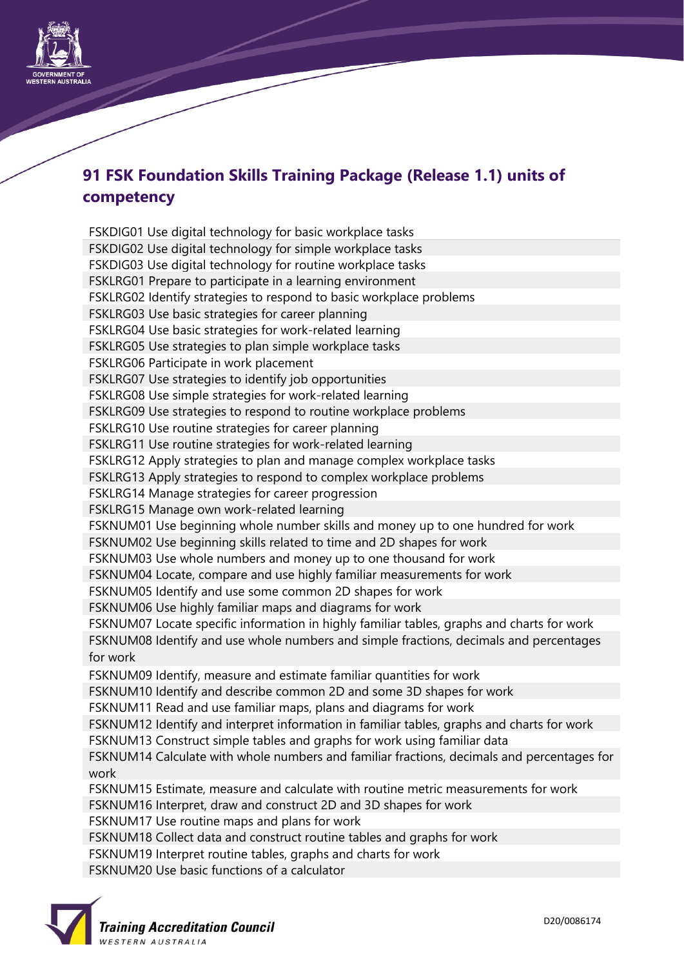

## **91 FSK Foundation Skills Training Package (Release 1.1) units of competency**

FSKDIG01 Use digital technology for basic workplace tasks FSKDIG02 Use digital technology for simple workplace tasks FSKDIG03 Use digital technology for routine workplace tasks FSKLRG01 Prepare to participate in a learning environment FSKLRG02 Identify strategies to respond to basic workplace problems FSKLRG03 Use basic strategies for career planning FSKLRG04 Use basic strategies for work-related learning FSKLRG05 Use strategies to plan simple workplace tasks FSKLRG06 Participate in work placement FSKLRG07 Use strategies to identify job opportunities FSKLRG08 Use simple strategies for work-related learning FSKLRG09 Use strategies to respond to routine workplace problems FSKLRG10 Use routine strategies for career planning FSKLRG11 Use routine strategies for work-related learning FSKLRG12 Apply strategies to plan and manage complex workplace tasks FSKLRG13 Apply strategies to respond to complex workplace problems FSKLRG14 Manage strategies for career progression FSKLRG15 Manage own work-related learning FSKNUM01 Use beginning whole number skills and money up to one hundred for work FSKNUM02 Use beginning skills related to time and 2D shapes for work FSKNUM03 Use whole numbers and money up to one thousand for work FSKNUM04 Locate, compare and use highly familiar measurements for work FSKNUM05 Identify and use some common 2D shapes for work FSKNUM06 Use highly familiar maps and diagrams for work FSKNUM07 Locate specific information in highly familiar tables, graphs and charts for work FSKNUM08 Identify and use whole numbers and simple fractions, decimals and percentages for work FSKNUM09 Identify, measure and estimate familiar quantities for work FSKNUM10 Identify and describe common 2D and some 3D shapes for work FSKNUM11 Read and use familiar maps, plans and diagrams for work FSKNUM12 Identify and interpret information in familiar tables, graphs and charts for work FSKNUM13 Construct simple tables and graphs for work using familiar data FSKNUM14 Calculate with whole numbers and familiar fractions, decimals and percentages for work FSKNUM15 Estimate, measure and calculate with routine metric measurements for work FSKNUM16 Interpret, draw and construct 2D and 3D shapes for work FSKNUM17 Use routine maps and plans for work FSKNUM18 Collect data and construct routine tables and graphs for work FSKNUM19 Interpret routine tables, graphs and charts for work FSKNUM20 Use basic functions of a calculator

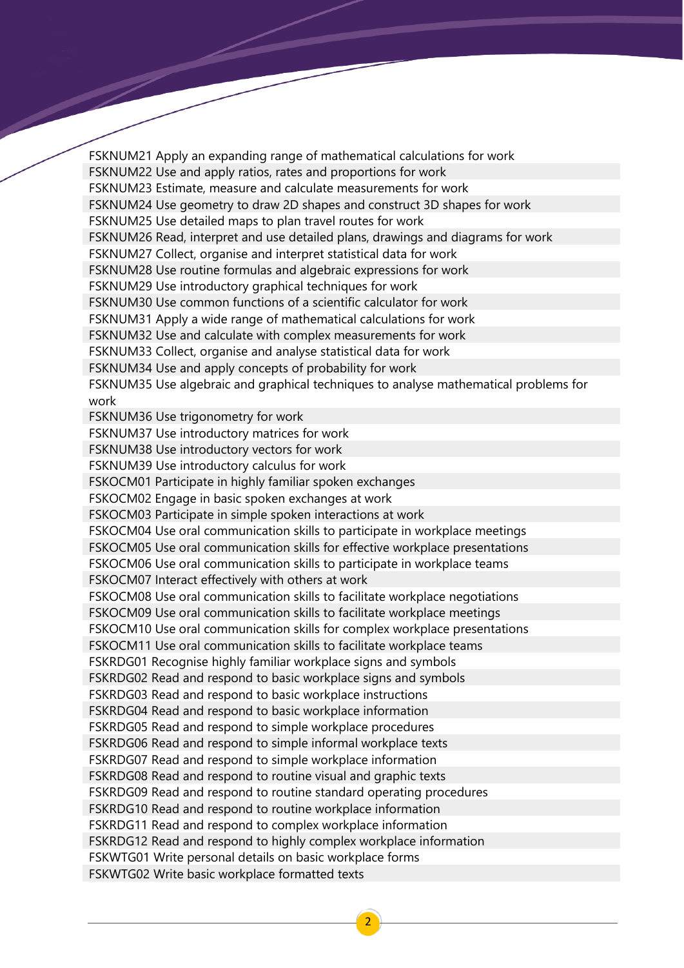FSKNUM21 Apply an expanding range of mathematical calculations for work FSKNUM22 Use and apply ratios, rates and proportions for work FSKNUM23 Estimate, measure and calculate measurements for work FSKNUM24 Use geometry to draw 2D shapes and construct 3D shapes for work FSKNUM25 Use detailed maps to plan travel routes for work FSKNUM26 Read, interpret and use detailed plans, drawings and diagrams for work FSKNUM27 Collect, organise and interpret statistical data for work FSKNUM28 Use routine formulas and algebraic expressions for work FSKNUM29 Use introductory graphical techniques for work FSKNUM30 Use common functions of a scientific calculator for work FSKNUM31 Apply a wide range of mathematical calculations for work FSKNUM32 Use and calculate with complex measurements for work FSKNUM33 Collect, organise and analyse statistical data for work FSKNUM34 Use and apply concepts of probability for work FSKNUM35 Use algebraic and graphical techniques to analyse mathematical problems for work FSKNUM36 Use trigonometry for work FSKNUM37 Use introductory matrices for work FSKNUM38 Use introductory vectors for work FSKNUM39 Use introductory calculus for work FSKOCM01 Participate in highly familiar spoken exchanges FSKOCM02 Engage in basic spoken exchanges at work FSKOCM03 Participate in simple spoken interactions at work FSKOCM04 Use oral communication skills to participate in workplace meetings FSKOCM05 Use oral communication skills for effective workplace presentations FSKOCM06 Use oral communication skills to participate in workplace teams FSKOCM07 Interact effectively with others at work FSKOCM08 Use oral communication skills to facilitate workplace negotiations FSKOCM09 Use oral communication skills to facilitate workplace meetings FSKOCM10 Use oral communication skills for complex workplace presentations FSKOCM11 Use oral communication skills to facilitate workplace teams FSKRDG01 Recognise highly familiar workplace signs and symbols FSKRDG02 Read and respond to basic workplace signs and symbols FSKRDG03 Read and respond to basic workplace instructions FSKRDG04 Read and respond to basic workplace information FSKRDG05 Read and respond to simple workplace procedures FSKRDG06 Read and respond to simple informal workplace texts FSKRDG07 Read and respond to simple workplace information FSKRDG08 Read and respond to routine visual and graphic texts FSKRDG09 Read and respond to routine standard operating procedures FSKRDG10 Read and respond to routine workplace information FSKRDG11 Read and respond to complex workplace information FSKRDG12 Read and respond to highly complex workplace information FSKWTG01 Write personal details on basic workplace forms FSKWTG02 Write basic workplace formatted texts